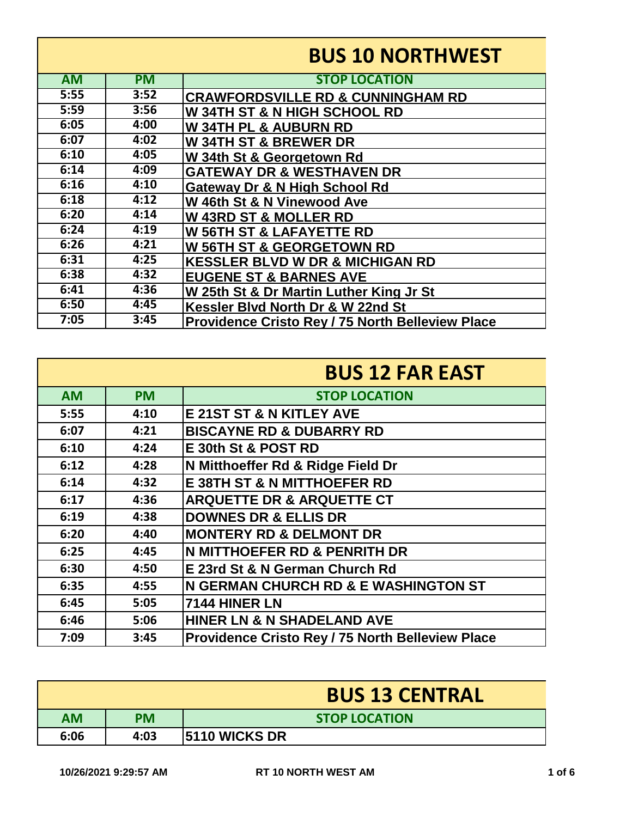|           |           | <b>BUS 10 NORTHWEST</b>                                 |
|-----------|-----------|---------------------------------------------------------|
| <b>AM</b> | <b>PM</b> | <b>STOP LOCATION</b>                                    |
| 5:55      | 3:52      | <b>CRAWFORDSVILLE RD &amp; CUNNINGHAM RD</b>            |
| 5:59      | 3:56      | W 34TH ST & N HIGH SCHOOL RD                            |
| 6:05      | 4:00      | <b>W34TH PL &amp; AUBURN RD</b>                         |
| 6:07      | 4:02      | <b>W34TH ST &amp; BREWER DR</b>                         |
| 6:10      | 4:05      | W 34th St & Georgetown Rd                               |
| 6:14      | 4:09      | <b>GATEWAY DR &amp; WESTHAVEN DR</b>                    |
| 6:16      | 4:10      | Gateway Dr & N High School Rd                           |
| 6:18      | 4:12      | W 46th St & N Vinewood Ave                              |
| 6:20      | 4:14      | <b>W 43RD ST &amp; MOLLER RD</b>                        |
| 6:24      | 4:19      | <b>W 56TH ST &amp; LAFAYETTE RD</b>                     |
| 6:26      | 4:21      | <b>W 56TH ST &amp; GEORGETOWN RD</b>                    |
| 6:31      | 4:25      | <b>KESSLER BLVD W DR &amp; MICHIGAN RD</b>              |
| 6:38      | 4:32      | <b>EUGENE ST &amp; BARNES AVE</b>                       |
| 6:41      | 4:36      | W 25th St & Dr Martin Luther King Jr St                 |
| 6:50      | 4:45      | Kessler Blvd North Dr & W 22nd St                       |
| 7:05      | 3:45      | <b>Providence Cristo Rey / 75 North Belleview Place</b> |

|           |           | <b>BUS 12 FAR EAST</b>                                  |
|-----------|-----------|---------------------------------------------------------|
| <b>AM</b> | <b>PM</b> | <b>STOP LOCATION</b>                                    |
| 5:55      | 4:10      | <b>E 21ST ST &amp; N KITLEY AVE</b>                     |
| 6:07      | 4:21      | <b>BISCAYNE RD &amp; DUBARRY RD</b>                     |
| 6:10      | 4:24      | E 30th St & POST RD                                     |
| 6:12      | 4:28      | N Mitthoeffer Rd & Ridge Field Dr                       |
| 6:14      | 4:32      | <b>E 38TH ST &amp; N MITTHOEFER RD</b>                  |
| 6:17      | 4:36      | <b>ARQUETTE DR &amp; ARQUETTE CT</b>                    |
| 6:19      | 4:38      | <b>DOWNES DR &amp; ELLIS DR</b>                         |
| 6:20      | 4:40      | <b>MONTERY RD &amp; DELMONT DR</b>                      |
| 6:25      | 4:45      | <b>N MITTHOEFER RD &amp; PENRITH DR</b>                 |
| 6:30      | 4:50      | E 23rd St & N German Church Rd                          |
| 6:35      | 4:55      | N GERMAN CHURCH RD & E WASHINGTON ST                    |
| 6:45      | 5:05      | <b>7144 HINER LN</b>                                    |
| 6:46      | 5:06      | HINER LN & N SHADELAND AVE                              |
| 7:09      | 3:45      | <b>Providence Cristo Rey / 75 North Belleview Place</b> |

|      |           | <b>BUS 13 CENTRAL</b> |
|------|-----------|-----------------------|
| AM   | <b>PM</b> | <b>STOP LOCATION</b>  |
| 6:06 | 4:03      | <b>5110 WICKS DR</b>  |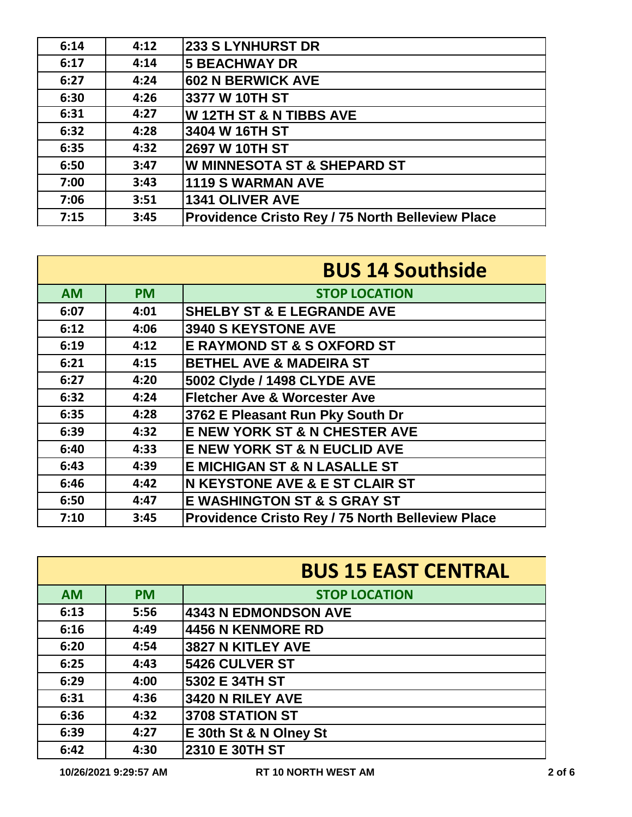| 6:14 | 4:12 | <b>233 S LYNHURST DR</b>                         |
|------|------|--------------------------------------------------|
| 6:17 | 4:14 | <b>5 BEACHWAY DR</b>                             |
| 6:27 | 4:24 | <b>602 N BERWICK AVE</b>                         |
| 6:30 | 4:26 | 3377 W 10TH ST                                   |
| 6:31 | 4:27 | <b>W12TH ST &amp; N TIBBS AVE</b>                |
| 6:32 | 4:28 | 3404 W 16TH ST                                   |
| 6:35 | 4:32 | 2697 W 10TH ST                                   |
| 6:50 | 3:47 | <b>W MINNESOTA ST &amp; SHEPARD ST</b>           |
| 7:00 | 3:43 | <b>1119 S WARMAN AVE</b>                         |
| 7:06 | 3:51 | <b>1341 OLIVER AVE</b>                           |
| 7:15 | 3:45 | Providence Cristo Rey / 75 North Belleview Place |

|           |           | <b>BUS 14 Southside</b>                          |
|-----------|-----------|--------------------------------------------------|
| <b>AM</b> | <b>PM</b> | <b>STOP LOCATION</b>                             |
| 6:07      | 4:01      | <b>SHELBY ST &amp; E LEGRANDE AVE</b>            |
| 6:12      | 4:06      | 3940 S KEYSTONE AVE                              |
| 6:19      | 4:12      | <b>E RAYMOND ST &amp; S OXFORD ST</b>            |
| 6:21      | 4:15      | <b>BETHEL AVE &amp; MADEIRA ST</b>               |
| 6:27      | 4:20      | 5002 Clyde / 1498 CLYDE AVE                      |
| 6:32      | 4:24      | <b>Fletcher Ave &amp; Worcester Ave</b>          |
| 6:35      | 4:28      | 3762 E Pleasant Run Pky South Dr                 |
| 6:39      | 4:32      | E NEW YORK ST & N CHESTER AVE                    |
| 6:40      | 4:33      | <b>E NEW YORK ST &amp; N EUCLID AVE</b>          |
| 6:43      | 4:39      | <b>E MICHIGAN ST &amp; N LASALLE ST</b>          |
| 6:46      | 4:42      | <b>N KEYSTONE AVE &amp; E ST CLAIR ST</b>        |
| 6:50      | 4:47      | <b>E WASHINGTON ST &amp; S GRAY ST</b>           |
| 7:10      | 3:45      | Providence Cristo Rey / 75 North Belleview Place |

|           |           | <b>BUS 15 EAST CENTRAL</b>  |
|-----------|-----------|-----------------------------|
| <b>AM</b> | <b>PM</b> | <b>STOP LOCATION</b>        |
| 6:13      | 5:56      | <b>4343 N EDMONDSON AVE</b> |
| 6:16      | 4:49      | <b>4456 N KENMORE RD</b>    |
| 6:20      | 4:54      | 3827 N KITLEY AVE           |
| 6:25      | 4:43      | 5426 CULVER ST              |
| 6:29      | 4:00      | 5302 E 34TH ST              |
| 6:31      | 4:36      | 3420 N RILEY AVE            |
| 6:36      | 4:32      | 3708 STATION ST             |
| 6:39      | 4:27      | E 30th St & N Olney St      |
| 6:42      | 4:30      | 2310 E 30TH ST              |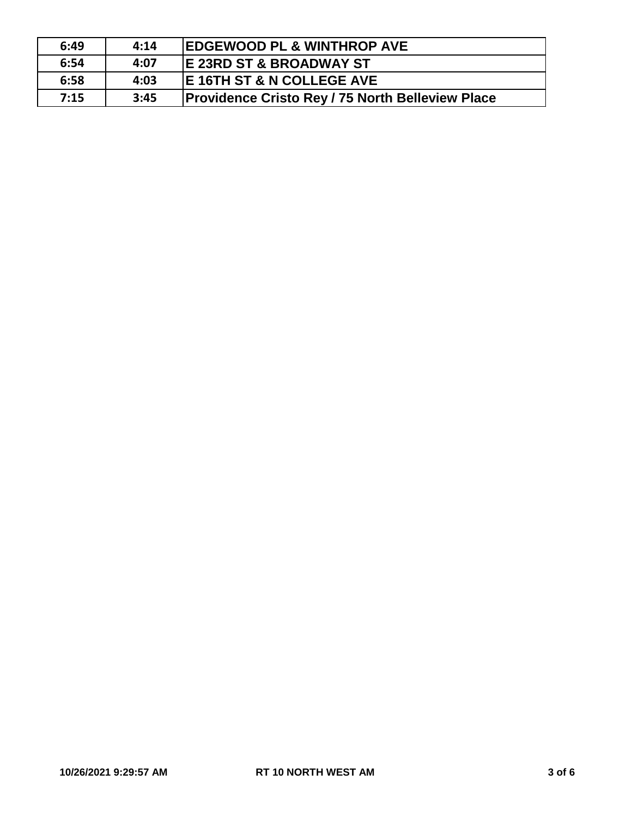| 6:49 | 4:14 | <b>EDGEWOOD PL &amp; WINTHROP AVE</b>                   |
|------|------|---------------------------------------------------------|
| 6:54 | 4:07 | <b>IE 23RD ST &amp; BROADWAY ST</b>                     |
| 6:58 | 4:03 | <b>IE 16TH ST &amp; N COLLEGE AVE</b>                   |
| 7:15 | 3:45 | <b>Providence Cristo Rey / 75 North Belleview Place</b> |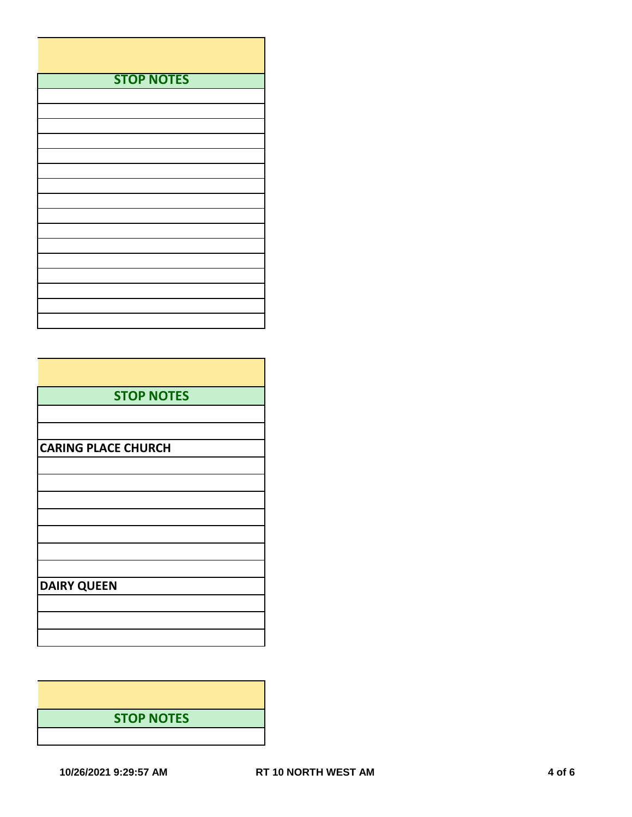| <b>STOP NOTES</b> |
|-------------------|
|                   |
|                   |
|                   |
|                   |
|                   |
|                   |
|                   |
|                   |
|                   |
|                   |
|                   |
|                   |
|                   |
|                   |
|                   |
|                   |

| <b>STOP NOTES</b>          |
|----------------------------|
|                            |
|                            |
| <b>CARING PLACE CHURCH</b> |
|                            |
|                            |
|                            |
|                            |
|                            |
|                            |
| <b>DAIRY QUEEN</b>         |
|                            |
|                            |
|                            |

**STOP NOTES**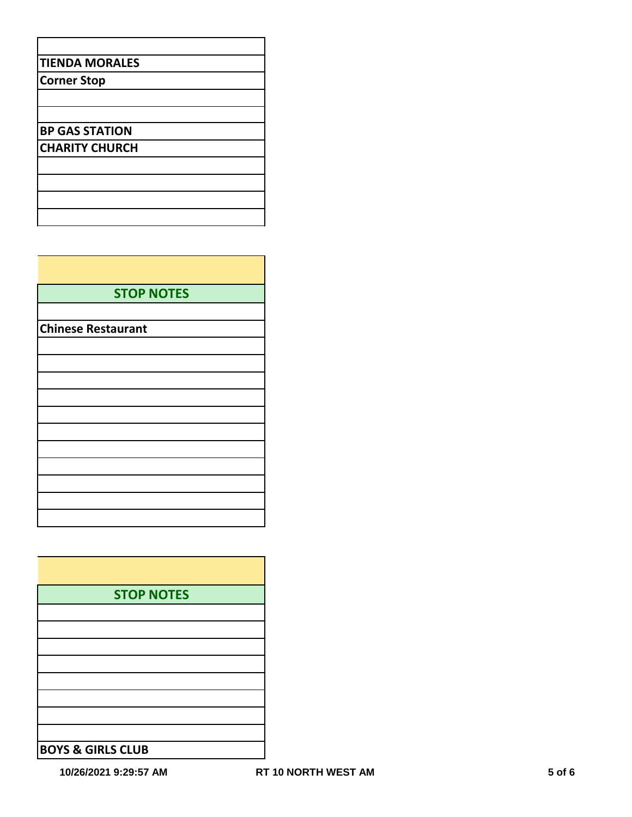| <b>STOP NOTES</b>         |
|---------------------------|
|                           |
| <b>Chinese Restaurant</b> |
|                           |
|                           |
|                           |
|                           |
|                           |
|                           |
|                           |
|                           |
|                           |
|                           |
|                           |

| <b>STOP NOTES</b>            |
|------------------------------|
|                              |
|                              |
|                              |
|                              |
|                              |
|                              |
|                              |
|                              |
| <b>BOYS &amp; GIRLS CLUB</b> |